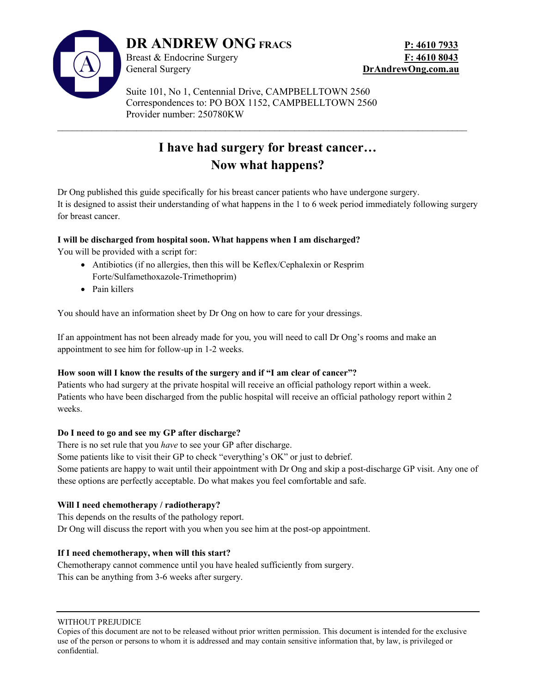

 Suite 101, No 1, Centennial Drive, CAMPBELLTOWN 2560 Correspondences to: PO BOX 1152, CAMPBELLTOWN 2560 Provider number: 250780KW

# I have had surgery for breast cancer… Now what happens?

 $\_$  , and the contribution of the contribution of the contribution of the contribution of  $\mathcal{L}_\text{max}$ 

Dr Ong published this guide specifically for his breast cancer patients who have undergone surgery. It is designed to assist their understanding of what happens in the 1 to 6 week period immediately following surgery for breast cancer.

# I will be discharged from hospital soon. What happens when I am discharged?

You will be provided with a script for:

- Antibiotics (if no allergies, then this will be Keflex/Cephalexin or Resprim Forte/Sulfamethoxazole-Trimethoprim)
- Pain killers

You should have an information sheet by Dr Ong on how to care for your dressings.

If an appointment has not been already made for you, you will need to call Dr Ong's rooms and make an appointment to see him for follow-up in 1-2 weeks.

# How soon will I know the results of the surgery and if "I am clear of cancer"?

Patients who had surgery at the private hospital will receive an official pathology report within a week. Patients who have been discharged from the public hospital will receive an official pathology report within 2 weeks.

#### Do I need to go and see my GP after discharge?

There is no set rule that you *have* to see your GP after discharge.

Some patients like to visit their GP to check "everything's OK" or just to debrief.

Some patients are happy to wait until their appointment with Dr Ong and skip a post-discharge GP visit. Any one of these options are perfectly acceptable. Do what makes you feel comfortable and safe.

#### Will I need chemotherapy / radiotherapy?

This depends on the results of the pathology report. Dr Ong will discuss the report with you when you see him at the post-op appointment.

#### If I need chemotherapy, when will this start?

Chemotherapy cannot commence until you have healed sufficiently from surgery. This can be anything from 3-6 weeks after surgery.

WITHOUT PREJUDICE

Copies of this document are not to be released without prior written permission. This document is intended for the exclusive use of the person or persons to whom it is addressed and may contain sensitive information that, by law, is privileged or confidential.